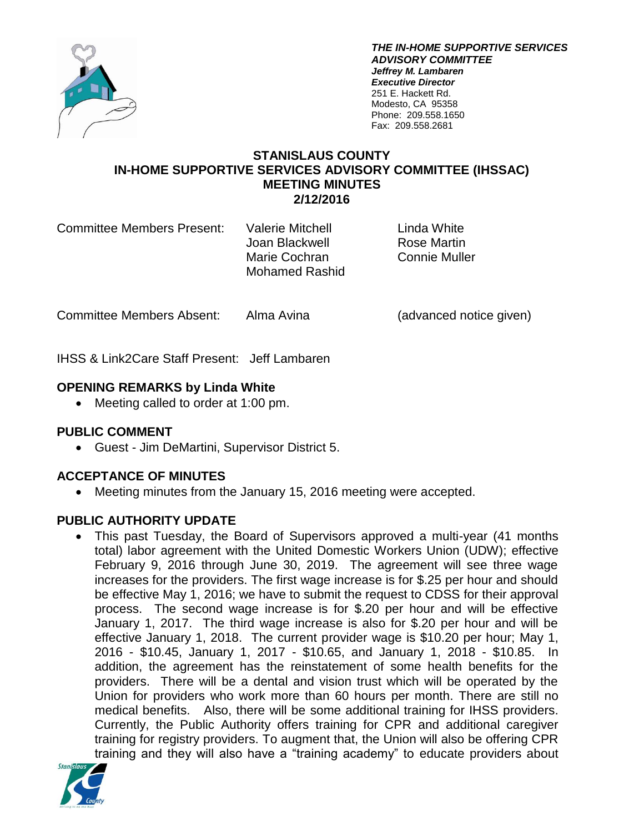

*THE IN-HOME SUPPORTIVE SERVICES ADVISORY COMMITTEE Jeffrey M. Lambaren Executive Director* 251 E. Hackett Rd. Modesto, CA 95358 Phone: 209.558.1650 Fax: 209.558.2681

## **STANISLAUS COUNTY IN-HOME SUPPORTIVE SERVICES ADVISORY COMMITTEE (IHSSAC) MEETING MINUTES 2/12/2016**

Committee Members Present: Valerie Mitchell Linda White

Joan Blackwell **Rose Martin** Marie Cochran Connie Muller Mohamed Rashid

Committee Members Absent: Alma Avina (advanced notice given)

IHSS & Link2Care Staff Present: Jeff Lambaren

# **OPENING REMARKS by Linda White**

• Meeting called to order at 1:00 pm.

# **PUBLIC COMMENT**

Guest - Jim DeMartini, Supervisor District 5.

# **ACCEPTANCE OF MINUTES**

Meeting minutes from the January 15, 2016 meeting were accepted.

# **PUBLIC AUTHORITY UPDATE**

 This past Tuesday, the Board of Supervisors approved a multi-year (41 months total) labor agreement with the United Domestic Workers Union (UDW); effective February 9, 2016 through June 30, 2019. The agreement will see three wage increases for the providers. The first wage increase is for \$.25 per hour and should be effective May 1, 2016; we have to submit the request to CDSS for their approval process. The second wage increase is for \$.20 per hour and will be effective January 1, 2017. The third wage increase is also for \$.20 per hour and will be effective January 1, 2018. The current provider wage is \$10.20 per hour; May 1, 2016 - \$10.45, January 1, 2017 - \$10.65, and January 1, 2018 - \$10.85. In addition, the agreement has the reinstatement of some health benefits for the providers. There will be a dental and vision trust which will be operated by the Union for providers who work more than 60 hours per month. There are still no medical benefits. Also, there will be some additional training for IHSS providers. Currently, the Public Authority offers training for CPR and additional caregiver training for registry providers. To augment that, the Union will also be offering CPR training and they will also have a "training academy" to educate providers about

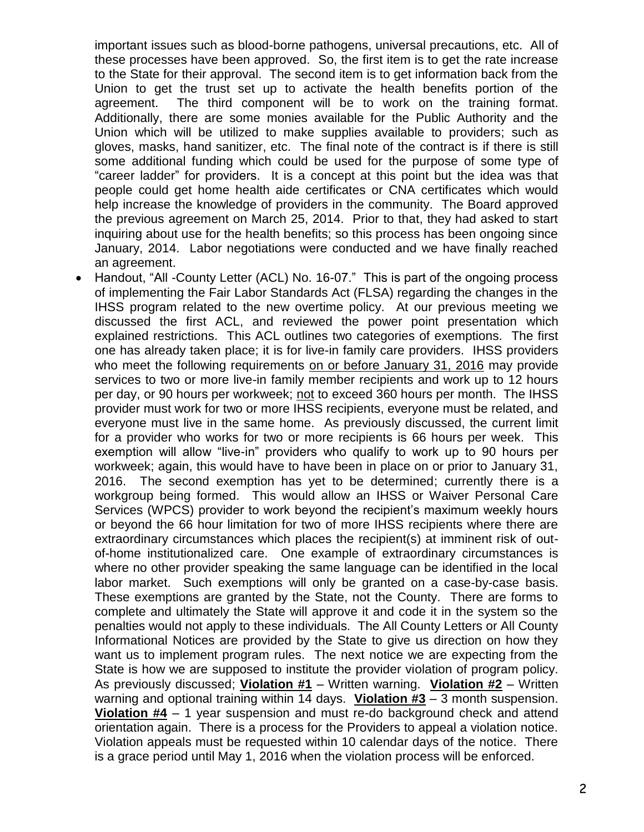important issues such as blood-borne pathogens, universal precautions, etc. All of these processes have been approved. So, the first item is to get the rate increase to the State for their approval. The second item is to get information back from the Union to get the trust set up to activate the health benefits portion of the agreement. The third component will be to work on the training format. Additionally, there are some monies available for the Public Authority and the Union which will be utilized to make supplies available to providers; such as gloves, masks, hand sanitizer, etc. The final note of the contract is if there is still some additional funding which could be used for the purpose of some type of "career ladder" for providers. It is a concept at this point but the idea was that people could get home health aide certificates or CNA certificates which would help increase the knowledge of providers in the community. The Board approved the previous agreement on March 25, 2014. Prior to that, they had asked to start inquiring about use for the health benefits; so this process has been ongoing since January, 2014. Labor negotiations were conducted and we have finally reached an agreement.

 Handout, "All -County Letter (ACL) No. 16-07." This is part of the ongoing process of implementing the Fair Labor Standards Act (FLSA) regarding the changes in the IHSS program related to the new overtime policy. At our previous meeting we discussed the first ACL, and reviewed the power point presentation which explained restrictions. This ACL outlines two categories of exemptions. The first one has already taken place; it is for live-in family care providers. IHSS providers who meet the following requirements on or before January 31, 2016 may provide services to two or more live-in family member recipients and work up to 12 hours per day, or 90 hours per workweek; not to exceed 360 hours per month. The IHSS provider must work for two or more IHSS recipients, everyone must be related, and everyone must live in the same home. As previously discussed, the current limit for a provider who works for two or more recipients is 66 hours per week. This exemption will allow "live-in" providers who qualify to work up to 90 hours per workweek; again, this would have to have been in place on or prior to January 31, 2016. The second exemption has yet to be determined; currently there is a workgroup being formed. This would allow an IHSS or Waiver Personal Care Services (WPCS) provider to work beyond the recipient's maximum weekly hours or beyond the 66 hour limitation for two of more IHSS recipients where there are extraordinary circumstances which places the recipient(s) at imminent risk of outof-home institutionalized care. One example of extraordinary circumstances is where no other provider speaking the same language can be identified in the local labor market. Such exemptions will only be granted on a case-by-case basis. These exemptions are granted by the State, not the County. There are forms to complete and ultimately the State will approve it and code it in the system so the penalties would not apply to these individuals. The All County Letters or All County Informational Notices are provided by the State to give us direction on how they want us to implement program rules. The next notice we are expecting from the State is how we are supposed to institute the provider violation of program policy. As previously discussed; **Violation #1** – Written warning. **Violation #2** – Written warning and optional training within 14 days. **Violation #3** – 3 month suspension. **Violation #4** – 1 year suspension and must re-do background check and attend orientation again. There is a process for the Providers to appeal a violation notice. Violation appeals must be requested within 10 calendar days of the notice. There is a grace period until May 1, 2016 when the violation process will be enforced.